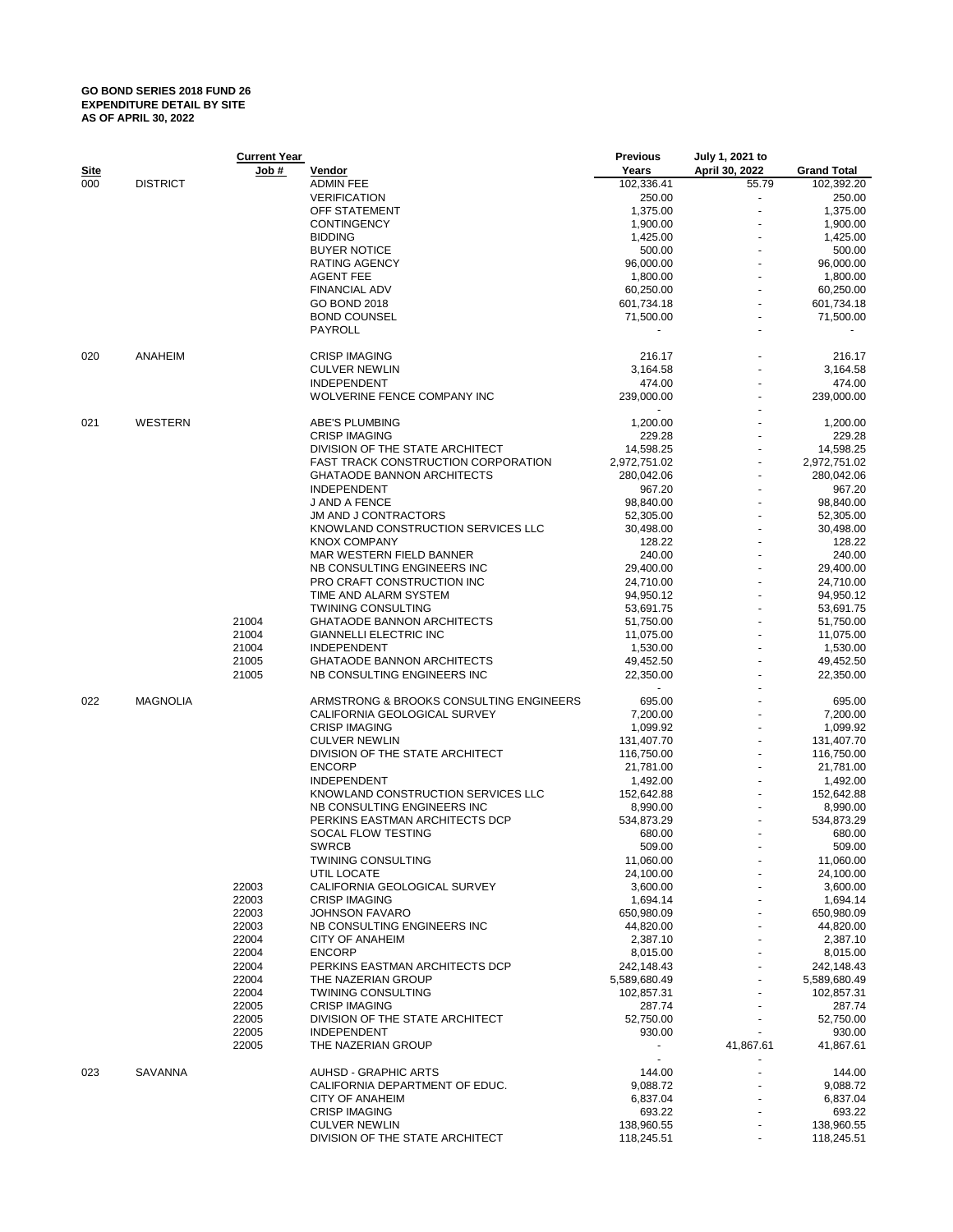## **GO BOND SERIES 2018 FUND 26 EXPENDITURE DETAIL BY SITE AS OF APRIL 30, 2022**

|             |                 | <b>Current Year</b> |                                            | <b>Previous</b> | July 1, 2021 to |                    |
|-------------|-----------------|---------------------|--------------------------------------------|-----------------|-----------------|--------------------|
| <u>Site</u> |                 | Job #               | <u>Vendor</u>                              | Years           | April 30, 2022  | <b>Grand Total</b> |
| 000         | <b>DISTRICT</b> |                     | <b>ADMIN FEE</b>                           | 102,336.41      | 55.79           | 102,392.20         |
|             |                 |                     | <b>VERIFICATION</b>                        | 250.00          |                 | 250.00             |
|             |                 |                     |                                            |                 |                 |                    |
|             |                 |                     | OFF STATEMENT                              | 1,375.00        |                 | 1,375.00           |
|             |                 |                     | <b>CONTINGENCY</b>                         | 1,900.00        |                 | 1,900.00           |
|             |                 |                     | <b>BIDDING</b>                             | 1,425.00        |                 | 1,425.00           |
|             |                 |                     | <b>BUYER NOTICE</b>                        | 500.00          |                 | 500.00             |
|             |                 |                     | RATING AGENCY                              | 96,000.00       |                 | 96,000.00          |
|             |                 |                     | <b>AGENT FEE</b>                           | 1,800.00        |                 | 1,800.00           |
|             |                 |                     |                                            |                 |                 |                    |
|             |                 |                     | <b>FINANCIAL ADV</b>                       | 60,250.00       |                 | 60,250.00          |
|             |                 |                     | <b>GO BOND 2018</b>                        | 601,734.18      |                 | 601,734.18         |
|             |                 |                     | <b>BOND COUNSEL</b>                        | 71,500.00       |                 | 71,500.00          |
|             |                 |                     | PAYROLL                                    |                 |                 |                    |
| 020         | ANAHEIM         |                     | <b>CRISP IMAGING</b>                       | 216.17          |                 | 216.17             |
|             |                 |                     | <b>CULVER NEWLIN</b>                       | 3,164.58        |                 | 3,164.58           |
|             |                 |                     | <b>INDEPENDENT</b>                         | 474.00          |                 | 474.00             |
|             |                 |                     |                                            |                 |                 |                    |
|             |                 |                     | WOLVERINE FENCE COMPANY INC                | 239,000.00      |                 | 239,000.00         |
| 021         | WESTERN         |                     | <b>ABE'S PLUMBING</b>                      | 1,200.00        |                 | 1,200.00           |
|             |                 |                     | <b>CRISP IMAGING</b>                       | 229.28          |                 | 229.28             |
|             |                 |                     | DIVISION OF THE STATE ARCHITECT            | 14,598.25       |                 | 14,598.25          |
|             |                 |                     | <b>FAST TRACK CONSTRUCTION CORPORATION</b> | 2,972,751.02    |                 | 2,972,751.02       |
|             |                 |                     |                                            |                 |                 |                    |
|             |                 |                     | <b>GHATAODE BANNON ARCHITECTS</b>          | 280,042.06      |                 | 280,042.06         |
|             |                 |                     | <b>INDEPENDENT</b>                         | 967.20          |                 | 967.20             |
|             |                 |                     | J AND A FENCE                              | 98,840.00       |                 | 98,840.00          |
|             |                 |                     | <b>JM AND J CONTRACTORS</b>                | 52,305.00       |                 | 52,305.00          |
|             |                 |                     |                                            |                 |                 |                    |
|             |                 |                     | KNOWLAND CONSTRUCTION SERVICES LLC         | 30,498.00       |                 | 30,498.00          |
|             |                 |                     | <b>KNOX COMPANY</b>                        | 128.22          |                 | 128.22             |
|             |                 |                     | MAR WESTERN FIELD BANNER                   | 240.00          |                 | 240.00             |
|             |                 |                     | NB CONSULTING ENGINEERS INC                | 29,400.00       |                 | 29,400.00          |
|             |                 |                     | PRO CRAFT CONSTRUCTION INC                 | 24,710.00       |                 | 24,710.00          |
|             |                 |                     |                                            |                 |                 |                    |
|             |                 |                     | TIME AND ALARM SYSTEM                      | 94,950.12       |                 | 94,950.12          |
|             |                 |                     | <b>TWINING CONSULTING</b>                  | 53,691.75       |                 | 53,691.75          |
|             |                 | 21004               | <b>GHATAODE BANNON ARCHITECTS</b>          | 51,750.00       |                 | 51,750.00          |
|             |                 | 21004               | <b>GIANNELLI ELECTRIC INC</b>              | 11,075.00       |                 | 11,075.00          |
|             |                 | 21004               | <b>INDEPENDENT</b>                         | 1,530.00        |                 | 1,530.00           |
|             |                 |                     |                                            |                 |                 |                    |
|             |                 | 21005               | <b>GHATAODE BANNON ARCHITECTS</b>          | 49,452.50       |                 | 49,452.50          |
|             |                 | 21005               | NB CONSULTING ENGINEERS INC                | 22,350.00       |                 | 22,350.00          |
| 022         | <b>MAGNOLIA</b> |                     | ARMSTRONG & BROOKS CONSULTING ENGINEERS    | 695.00          |                 | 695.00             |
|             |                 |                     | CALIFORNIA GEOLOGICAL SURVEY               | 7,200.00        |                 | 7,200.00           |
|             |                 |                     | <b>CRISP IMAGING</b>                       | 1,099.92        |                 | 1,099.92           |
|             |                 |                     |                                            |                 |                 |                    |
|             |                 |                     | <b>CULVER NEWLIN</b>                       | 131,407.70      |                 | 131,407.70         |
|             |                 |                     | DIVISION OF THE STATE ARCHITECT            | 116,750.00      |                 | 116,750.00         |
|             |                 |                     | <b>ENCORP</b>                              | 21,781.00       |                 | 21,781.00          |
|             |                 |                     | <b>INDEPENDENT</b>                         | 1,492.00        |                 | 1,492.00           |
|             |                 |                     | KNOWLAND CONSTRUCTION SERVICES LLC         | 152,642.88      |                 | 152,642.88         |
|             |                 |                     |                                            |                 |                 |                    |
|             |                 |                     | NB CONSULTING ENGINEERS INC                | 8,990.00        |                 | 8,990.00           |
|             |                 |                     | PERKINS EASTMAN ARCHITECTS DCP             | 534,873.29      |                 | 534,873.29         |
|             |                 |                     | <b>SOCAL FLOW TESTING</b>                  | 680.00          |                 | 680.00             |
|             |                 |                     | <b>SWRCB</b>                               | 509.00          |                 | 509.00             |
|             |                 |                     | <b>TWINING CONSULTING</b>                  | 11,060.00       |                 | 11,060.00          |
|             |                 |                     |                                            |                 |                 |                    |
|             |                 |                     | UTIL LOCATE                                | 24,100.00       |                 | 24,100.00          |
|             |                 | 22003               | CALIFORNIA GEOLOGICAL SURVEY               | 3,600.00        |                 | 3,600.00           |
|             |                 | 22003               | <b>CRISP IMAGING</b>                       | 1,694.14        |                 | 1,694.14           |
|             |                 | 22003               | <b>JOHNSON FAVARO</b>                      | 650,980.09      |                 | 650,980.09         |
|             |                 | 22003               | NB CONSULTING ENGINEERS INC                | 44,820.00       |                 | 44,820.00          |
|             |                 |                     |                                            |                 |                 |                    |
|             |                 | 22004               | <b>CITY OF ANAHEIM</b>                     | 2,387.10        |                 | 2,387.10           |
|             |                 | 22004               | <b>ENCORP</b>                              | 8,015.00        |                 | 8,015.00           |
|             |                 | 22004               | PERKINS EASTMAN ARCHITECTS DCP             | 242,148.43      |                 | 242,148.43         |
|             |                 | 22004               | THE NAZERIAN GROUP                         | 5,589,680.49    |                 | 5,589,680.49       |
|             |                 | 22004               | <b>TWINING CONSULTING</b>                  | 102,857.31      |                 | 102,857.31         |
|             |                 |                     |                                            |                 |                 |                    |
|             |                 | 22005               | <b>CRISP IMAGING</b>                       | 287.74          |                 | 287.74             |
|             |                 | 22005               | DIVISION OF THE STATE ARCHITECT            | 52,750.00       |                 | 52,750.00          |
|             |                 | 22005               | <b>INDEPENDENT</b>                         | 930.00          |                 | 930.00             |
|             |                 | 22005               | THE NAZERIAN GROUP                         | ۰               | 41,867.61       | 41,867.61          |
| 023         | SAVANNA         |                     | AUHSD - GRAPHIC ARTS                       | ÷.<br>144.00    |                 | 144.00             |
|             |                 |                     |                                            |                 |                 |                    |
|             |                 |                     | CALIFORNIA DEPARTMENT OF EDUC.             | 9,088.72        |                 | 9,088.72           |
|             |                 |                     | <b>CITY OF ANAHEIM</b>                     | 6,837.04        |                 | 6,837.04           |
|             |                 |                     | <b>CRISP IMAGING</b>                       | 693.22          |                 | 693.22             |
|             |                 |                     | <b>CULVER NEWLIN</b>                       | 138,960.55      |                 | 138,960.55         |
|             |                 |                     | DIVISION OF THE STATE ARCHITECT            | 118,245.51      |                 | 118,245.51         |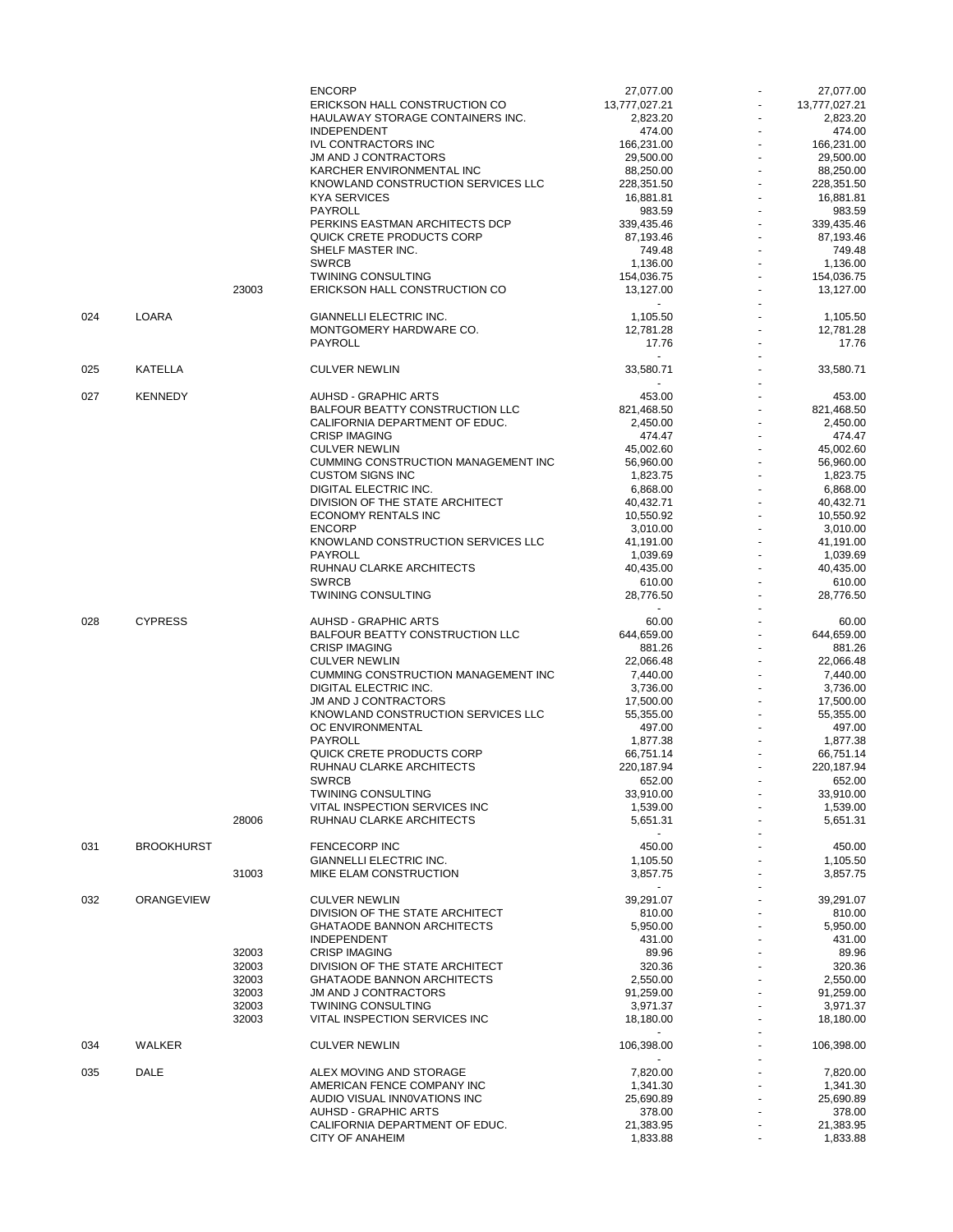|     |                   |       | <b>ENCORP</b>                                                     | 27,077.00                   | 27,077.00               |
|-----|-------------------|-------|-------------------------------------------------------------------|-----------------------------|-------------------------|
|     |                   |       | ERICKSON HALL CONSTRUCTION CO                                     | 13,777,027.21               | 13,777,027.21           |
|     |                   |       | HAULAWAY STORAGE CONTAINERS INC.                                  | 2,823.20                    | 2,823.20                |
|     |                   |       | <b>INDEPENDENT</b>                                                | 474.00                      | 474.00                  |
|     |                   |       | <b>IVL CONTRACTORS INC</b><br><b>JM AND J CONTRACTORS</b>         | 166,231.00<br>29,500.00     | 166,231.00<br>29,500.00 |
|     |                   |       | KARCHER ENVIRONMENTAL INC                                         | 88,250.00                   | 88,250.00               |
|     |                   |       | KNOWLAND CONSTRUCTION SERVICES LLC                                | 228,351.50                  | 228,351.50              |
|     |                   |       | <b>KYA SERVICES</b>                                               | 16,881.81                   | 16,881.81               |
|     |                   |       | PAYROLL                                                           | 983.59                      | 983.59                  |
|     |                   |       | PERKINS EASTMAN ARCHITECTS DCP                                    | 339,435.46                  | 339,435.46              |
|     |                   |       | QUICK CRETE PRODUCTS CORP                                         | 87,193.46                   | 87,193.46               |
|     |                   |       | SHELF MASTER INC.                                                 | 749.48                      | 749.48                  |
|     |                   |       | <b>SWRCB</b>                                                      | 1,136.00                    | 1.136.00                |
|     |                   |       | <b>TWINING CONSULTING</b>                                         | 154,036.75                  | 154,036.75              |
|     |                   | 23003 | ERICKSON HALL CONSTRUCTION CO                                     | 13,127.00<br>$\blacksquare$ | 13,127.00               |
| 024 | LOARA             |       | GIANNELLI ELECTRIC INC.                                           | 1,105.50                    | 1,105.50                |
|     |                   |       | MONTGOMERY HARDWARE CO.                                           | 12,781.28                   | 12,781.28               |
|     |                   |       | <b>PAYROLL</b>                                                    | 17.76                       | 17.76                   |
|     |                   |       |                                                                   | $\blacksquare$              |                         |
| 025 | <b>KATELLA</b>    |       | <b>CULVER NEWLIN</b>                                              | 33,580.71                   | 33,580.71               |
|     |                   |       |                                                                   | $\blacksquare$              |                         |
| 027 | <b>KENNEDY</b>    |       | <b>AUHSD - GRAPHIC ARTS</b><br>BALFOUR BEATTY CONSTRUCTION LLC    | 453.00                      | 453.00                  |
|     |                   |       | CALIFORNIA DEPARTMENT OF EDUC.                                    | 821,468.50<br>2,450.00      | 821,468.50<br>2,450.00  |
|     |                   |       | <b>CRISP IMAGING</b>                                              | 474.47                      | 474.47                  |
|     |                   |       | <b>CULVER NEWLIN</b>                                              | 45,002.60                   | 45,002.60               |
|     |                   |       | <b>CUMMING CONSTRUCTION MANAGEMENT INC</b>                        | 56,960.00                   | 56,960.00               |
|     |                   |       | <b>CUSTOM SIGNS INC</b>                                           | 1,823.75                    | 1,823.75                |
|     |                   |       | DIGITAL ELECTRIC INC.                                             | 6,868.00                    | 6,868.00                |
|     |                   |       | DIVISION OF THE STATE ARCHITECT                                   | 40,432.71                   | 40,432.71               |
|     |                   |       | <b>ECONOMY RENTALS INC</b>                                        | 10,550.92                   | 10,550.92               |
|     |                   |       | <b>ENCORP</b>                                                     | 3,010.00                    | 3,010.00                |
|     |                   |       | KNOWLAND CONSTRUCTION SERVICES LLC                                | 41,191.00                   | 41,191.00               |
|     |                   |       | <b>PAYROLL</b>                                                    | 1,039.69                    | 1,039.69                |
|     |                   |       | RUHNAU CLARKE ARCHITECTS                                          | 40,435.00                   | 40,435.00               |
|     |                   |       | <b>SWRCB</b>                                                      | 610.00                      | 610.00                  |
|     |                   |       | <b>TWINING CONSULTING</b>                                         | 28,776.50                   | 28,776.50               |
|     |                   |       |                                                                   | $\sim$                      |                         |
| 028 | <b>CYPRESS</b>    |       | <b>AUHSD - GRAPHIC ARTS</b>                                       | 60.00                       | 60.00                   |
|     |                   |       | BALFOUR BEATTY CONSTRUCTION LLC                                   | 644,659.00                  | 644,659.00              |
|     |                   |       | <b>CRISP IMAGING</b>                                              | 881.26                      | 881.26                  |
|     |                   |       | <b>CULVER NEWLIN</b>                                              | 22,066.48                   | 22,066.48               |
|     |                   |       | CUMMING CONSTRUCTION MANAGEMENT INC                               | 7,440.00                    | 7,440.00                |
|     |                   |       | <b>DIGITAL ELECTRIC INC.</b>                                      | 3,736.00                    | 3,736.00                |
|     |                   |       | <b>JM AND J CONTRACTORS</b><br>KNOWLAND CONSTRUCTION SERVICES LLC | 17,500.00<br>55,355.00      | 17,500.00               |
|     |                   |       | OC ENVIRONMENTAL                                                  | 497.00                      | 55,355.00<br>497.00     |
|     |                   |       | PAYROLL                                                           | 1,877.38                    | 1,877.38                |
|     |                   |       | QUICK CRETE PRODUCTS CORP                                         | 66,751.14                   | 66,751.14               |
|     |                   |       | RUHNAU CLARKE ARCHITECTS                                          | 220,187.94                  | 220,187.94              |
|     |                   |       | <b>SWRCB</b>                                                      | 652.00                      | 652.00                  |
|     |                   |       | <b>TWINING CONSULTING</b>                                         | 33,910.00                   | 33,910.00               |
|     |                   |       | VITAL INSPECTION SERVICES INC                                     | 1,539.00                    | 1,539.00                |
|     |                   | 28006 | RUHNAU CLARKE ARCHITECTS                                          | 5,651.31                    | 5,651.31                |
|     |                   |       |                                                                   | $\sim$                      |                         |
| 031 | <b>BROOKHURST</b> |       | <b>FENCECORP INC</b>                                              | 450.00                      | 450.00                  |
|     |                   | 31003 | GIANNELLI ELECTRIC INC.<br>MIKE ELAM CONSTRUCTION                 | 1,105.50<br>3,857.75        | 1,105.50<br>3,857.75    |
|     |                   |       |                                                                   | $\sim$                      |                         |
| 032 | <b>ORANGEVIEW</b> |       | <b>CULVER NEWLIN</b>                                              | 39,291.07                   | 39,291.07               |
|     |                   |       | DIVISION OF THE STATE ARCHITECT                                   | 810.00                      | 810.00                  |
|     |                   |       | <b>GHATAODE BANNON ARCHITECTS</b>                                 | 5,950.00                    | 5,950.00                |
|     |                   |       | <b>INDEPENDENT</b>                                                | 431.00                      | 431.00                  |
|     |                   | 32003 | <b>CRISP IMAGING</b>                                              | 89.96                       | 89.96                   |
|     |                   | 32003 | DIVISION OF THE STATE ARCHITECT                                   | 320.36                      | 320.36                  |
|     |                   | 32003 | <b>GHATAODE BANNON ARCHITECTS</b>                                 | 2,550.00                    | 2.550.00                |
|     |                   | 32003 | JM AND J CONTRACTORS                                              | 91,259.00                   | 91,259.00               |
|     |                   | 32003 | <b>TWINING CONSULTING</b>                                         | 3,971.37                    | 3,971.37                |
|     |                   | 32003 | VITAL INSPECTION SERVICES INC                                     | 18,180.00                   | 18,180.00               |
| 034 | WALKER            |       | <b>CULVER NEWLIN</b>                                              | $\sim$<br>106,398.00        | 106,398.00              |
|     |                   |       |                                                                   |                             |                         |
| 035 | DALE              |       | ALEX MOVING AND STORAGE                                           | 7,820.00                    | 7,820.00                |
|     |                   |       | AMERICAN FENCE COMPANY INC                                        | 1,341.30                    | 1,341.30                |
|     |                   |       | AUDIO VISUAL INNOVATIONS INC                                      | 25,690.89                   | 25,690.89               |
|     |                   |       | <b>AUHSD - GRAPHIC ARTS</b>                                       | 378.00                      | 378.00                  |
|     |                   |       | CALIFORNIA DEPARTMENT OF EDUC.                                    | 21,383.95                   | 21,383.95               |
|     |                   |       | CITY OF ANAHEIM                                                   | 1,833.88                    | 1,833.88                |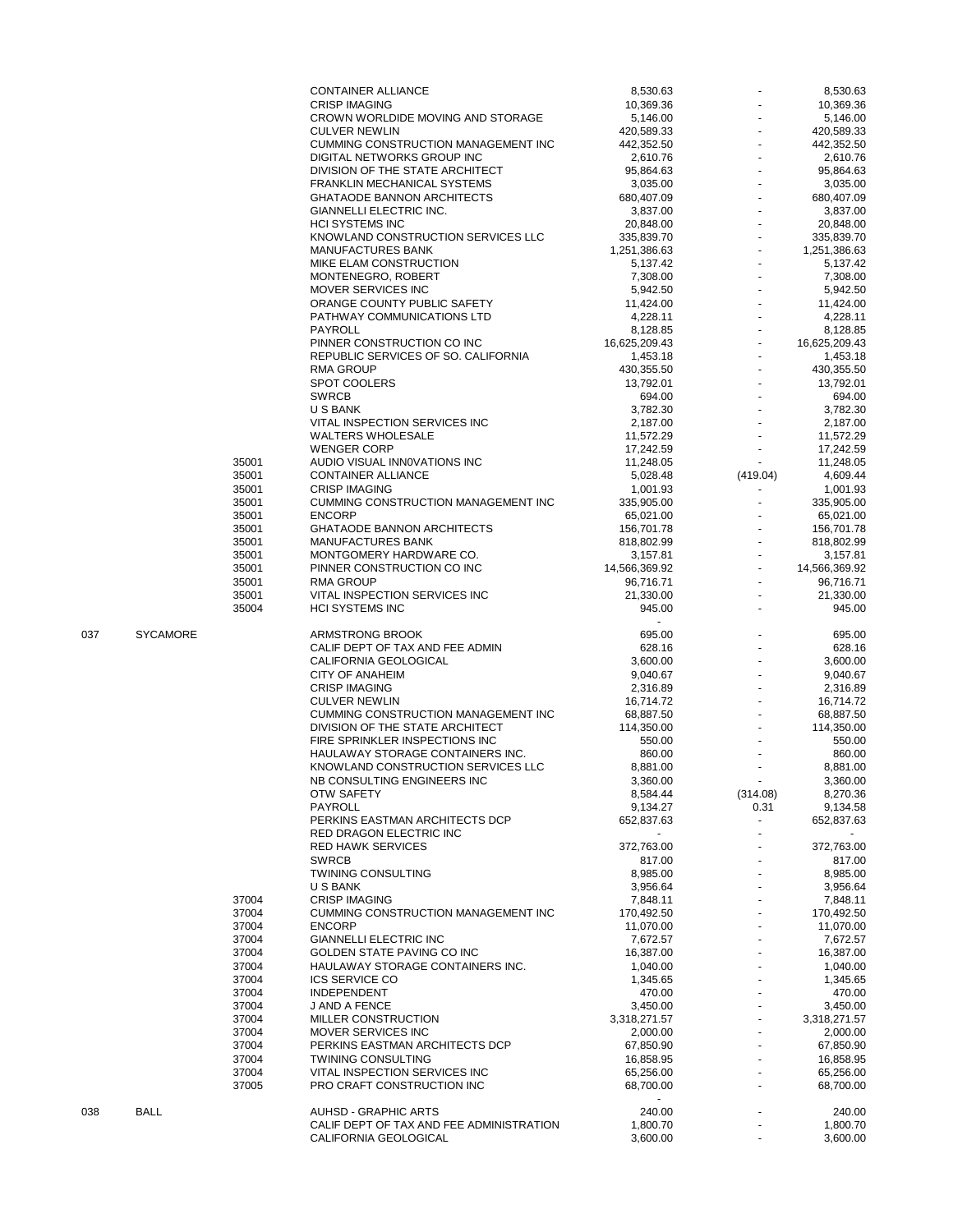|     |                 |       | <b>CONTAINER ALLIANCE</b>                  | 8,530.63             |                          | 8,530.63      |
|-----|-----------------|-------|--------------------------------------------|----------------------|--------------------------|---------------|
|     |                 |       | <b>CRISP IMAGING</b>                       | 10,369.36            |                          | 10,369.36     |
|     |                 |       | CROWN WORLDIDE MOVING AND STORAGE          | 5,146.00             |                          | 5,146.00      |
|     |                 |       | <b>CULVER NEWLIN</b>                       |                      |                          | 420,589.33    |
|     |                 |       |                                            | 420,589.33           |                          |               |
|     |                 |       | CUMMING CONSTRUCTION MANAGEMENT INC        | 442,352.50           |                          | 442,352.50    |
|     |                 |       | DIGITAL NETWORKS GROUP INC                 | 2,610.76             |                          | 2,610.76      |
|     |                 |       | DIVISION OF THE STATE ARCHITECT            | 95,864.63            |                          | 95.864.63     |
|     |                 |       |                                            |                      |                          |               |
|     |                 |       | <b>FRANKLIN MECHANICAL SYSTEMS</b>         | 3,035.00             |                          | 3,035.00      |
|     |                 |       | <b>GHATAODE BANNON ARCHITECTS</b>          | 680,407.09           |                          | 680,407.09    |
|     |                 |       | GIANNELLI ELECTRIC INC.                    | 3,837.00             |                          | 3,837.00      |
|     |                 |       |                                            |                      |                          |               |
|     |                 |       | <b>HCI SYSTEMS INC</b>                     | 20,848.00            |                          | 20,848.00     |
|     |                 |       | KNOWLAND CONSTRUCTION SERVICES LLC         | 335,839.70           |                          | 335,839.70    |
|     |                 |       |                                            |                      |                          |               |
|     |                 |       | <b>MANUFACTURES BANK</b>                   | 1,251,386.63         |                          | 1,251,386.63  |
|     |                 |       | MIKE ELAM CONSTRUCTION                     | 5,137.42             |                          | 5,137.42      |
|     |                 |       | MONTENEGRO, ROBERT                         | 7,308.00             |                          | 7,308.00      |
|     |                 |       |                                            |                      |                          |               |
|     |                 |       | MOVER SERVICES INC                         | 5,942.50             |                          | 5,942.50      |
|     |                 |       | ORANGE COUNTY PUBLIC SAFETY                | 11,424.00            |                          | 11,424.00     |
|     |                 |       | PATHWAY COMMUNICATIONS LTD                 | 4,228.11             |                          | 4,228.11      |
|     |                 |       |                                            |                      |                          |               |
|     |                 |       | PAYROLL                                    | 8,128.85             |                          | 8,128.85      |
|     |                 |       | PINNER CONSTRUCTION CO INC                 | 16,625,209.43        |                          | 16,625,209.43 |
|     |                 |       | REPUBLIC SERVICES OF SO. CALIFORNIA        | 1,453.18             |                          | 1,453.18      |
|     |                 |       |                                            |                      |                          |               |
|     |                 |       | <b>RMA GROUP</b>                           | 430,355.50           |                          | 430,355.50    |
|     |                 |       | SPOT COOLERS                               | 13,792.01            |                          | 13,792.01     |
|     |                 |       | <b>SWRCB</b>                               | 694.00               |                          | 694.00        |
|     |                 |       |                                            |                      |                          |               |
|     |                 |       | U S BANK                                   | 3,782.30             |                          | 3,782.30      |
|     |                 |       | VITAL INSPECTION SERVICES INC              | 2,187.00             |                          | 2,187.00      |
|     |                 |       | <b>WALTERS WHOLESALE</b>                   | 11,572.29            |                          | 11,572.29     |
|     |                 |       |                                            |                      |                          |               |
|     |                 |       | <b>WENGER CORP</b>                         | 17,242.59            |                          | 17.242.59     |
|     |                 | 35001 | AUDIO VISUAL INNOVATIONS INC               | 11,248.05            |                          | 11,248.05     |
|     |                 |       | <b>CONTAINER ALLIANCE</b>                  |                      |                          |               |
|     |                 | 35001 |                                            | 5,028.48             | (419.04)                 | 4,609.44      |
|     |                 | 35001 | <b>CRISP IMAGING</b>                       | 1,001.93             |                          | 1,001.93      |
|     |                 | 35001 | <b>CUMMING CONSTRUCTION MANAGEMENT INC</b> | 335,905.00           |                          | 335,905.00    |
|     |                 |       | <b>ENCORP</b>                              |                      |                          |               |
|     |                 | 35001 |                                            | 65,021.00            |                          | 65,021.00     |
|     |                 | 35001 | GHATAODE BANNON ARCHITECTS                 | 156,701.78           |                          | 156,701.78    |
|     |                 | 35001 | MANUFACTURES BANK                          | 818,802.99           |                          | 818,802.99    |
|     |                 |       |                                            |                      |                          |               |
|     |                 | 35001 | MONTGOMERY HARDWARE CO.                    | 3,157.81             |                          | 3,157.81      |
|     |                 | 35001 | PINNER CONSTRUCTION CO INC                 | 14,566,369.92        |                          | 14,566,369.92 |
|     |                 | 35001 | <b>RMA GROUP</b>                           | 96,716.71            |                          | 96,716.71     |
|     |                 |       |                                            |                      |                          |               |
|     |                 | 35001 | VITAL INSPECTION SERVICES INC              | 21,330.00            |                          | 21,330.00     |
|     |                 | 35004 | <b>HCI SYSTEMS INC</b>                     | 945.00               |                          | 945.00        |
|     |                 |       |                                            |                      |                          |               |
|     |                 |       |                                            |                      |                          |               |
|     |                 |       |                                            |                      |                          |               |
| 037 | <b>SYCAMORE</b> |       | ARMSTRONG BROOK                            | 695.00               |                          | 695.00        |
|     |                 |       | CALIF DEPT OF TAX AND FEE ADMIN            |                      |                          |               |
|     |                 |       |                                            | 628.16               |                          | 628.16        |
|     |                 |       | CALIFORNIA GEOLOGICAL                      | 3,600.00             |                          | 3,600.00      |
|     |                 |       | <b>CITY OF ANAHEIM</b>                     | 9,040.67             |                          | 9,040.67      |
|     |                 |       | <b>CRISP IMAGING</b>                       |                      |                          |               |
|     |                 |       |                                            | 2,316.89             |                          | 2,316.89      |
|     |                 |       | <b>CULVER NEWLIN</b>                       | 16,714.72            |                          | 16,714.72     |
|     |                 |       | CUMMING CONSTRUCTION MANAGEMENT INC        | 68,887.50            |                          | 68,887.50     |
|     |                 |       |                                            |                      |                          |               |
|     |                 |       | DIVISION OF THE STATE ARCHITECT            | 114,350.00           |                          | 114,350.00    |
|     |                 |       | FIRE SPRINKLER INSPECTIONS INC             | 550.00               |                          | 550.00        |
|     |                 |       | HAULAWAY STORAGE CONTAINERS INC.           | 860.00               |                          | 860.00        |
|     |                 |       |                                            | 8,881.00             |                          | 8,881.00      |
|     |                 |       | KNOWLAND CONSTRUCTION SERVICES LLC         |                      |                          |               |
|     |                 |       | NB CONSULTING ENGINEERS INC                | 3,360.00             |                          | 3,360.00      |
|     |                 |       | OTW SAFETY                                 | 8,584.44             | (314.08)                 | 8,270.36      |
|     |                 |       |                                            | 9,134.27             |                          |               |
|     |                 |       | PAYROLL                                    |                      | 0.31                     | 9,134.58      |
|     |                 |       | PERKINS EASTMAN ARCHITECTS DCP             | 652,837.63           | $\blacksquare$           | 652,837.63    |
|     |                 |       | RED DRAGON ELECTRIC INC                    |                      | $\overline{\phantom{a}}$ |               |
|     |                 |       | <b>RED HAWK SERVICES</b>                   |                      |                          |               |
|     |                 |       |                                            | 372,763.00           |                          | 372,763.00    |
|     |                 |       | <b>SWRCB</b>                               | 817.00               |                          | 817.00        |
|     |                 |       | <b>TWINING CONSULTING</b>                  | 8,985.00             |                          | 8,985.00      |
|     |                 |       | U S BANK                                   | 3,956.64             |                          | 3,956.64      |
|     |                 |       |                                            |                      |                          |               |
|     |                 | 37004 | <b>CRISP IMAGING</b>                       | 7,848.11             |                          | 7,848.11      |
|     |                 | 37004 | CUMMING CONSTRUCTION MANAGEMENT INC        | 170,492.50           |                          | 170,492.50    |
|     |                 | 37004 | <b>ENCORP</b>                              | 11,070.00            |                          | 11,070.00     |
|     |                 |       |                                            |                      |                          |               |
|     |                 | 37004 | <b>GIANNELLI ELECTRIC INC</b>              | 7,672.57             |                          | 7,672.57      |
|     |                 | 37004 | GOLDEN STATE PAVING CO INC                 | 16,387.00            |                          | 16,387.00     |
|     |                 | 37004 | HAULAWAY STORAGE CONTAINERS INC.           | 1,040.00             |                          | 1,040.00      |
|     |                 |       |                                            |                      |                          |               |
|     |                 | 37004 | <b>ICS SERVICE CO</b>                      | 1,345.65             |                          | 1,345.65      |
|     |                 | 37004 | INDEPENDENT                                | 470.00               |                          | 470.00        |
|     |                 | 37004 | J AND A FENCE                              | 3,450.00             |                          | 3,450.00      |
|     |                 |       |                                            |                      |                          |               |
|     |                 | 37004 | MILLER CONSTRUCTION                        | 3,318,271.57         |                          | 3,318,271.57  |
|     |                 | 37004 | MOVER SERVICES INC                         | 2,000.00             |                          | 2,000.00      |
|     |                 | 37004 | PERKINS EASTMAN ARCHITECTS DCP             | 67,850.90            |                          | 67,850.90     |
|     |                 |       |                                            |                      |                          |               |
|     |                 | 37004 | <b>TWINING CONSULTING</b>                  | 16,858.95            |                          | 16,858.95     |
|     |                 | 37004 | VITAL INSPECTION SERVICES INC              | 65,256.00            |                          | 65,256.00     |
|     |                 | 37005 | PRO CRAFT CONSTRUCTION INC                 | 68,700.00            |                          | 68,700.00     |
|     |                 |       |                                            |                      |                          |               |
|     |                 |       |                                            |                      |                          |               |
| 038 | <b>BALL</b>     |       | <b>AUHSD - GRAPHIC ARTS</b>                | 240.00               |                          | 240.00        |
|     |                 |       | CALIF DEPT OF TAX AND FEE ADMINISTRATION   |                      |                          | 1,800.70      |
|     |                 |       | CALIFORNIA GEOLOGICAL                      | 1,800.70<br>3,600.00 |                          | 3,600.00      |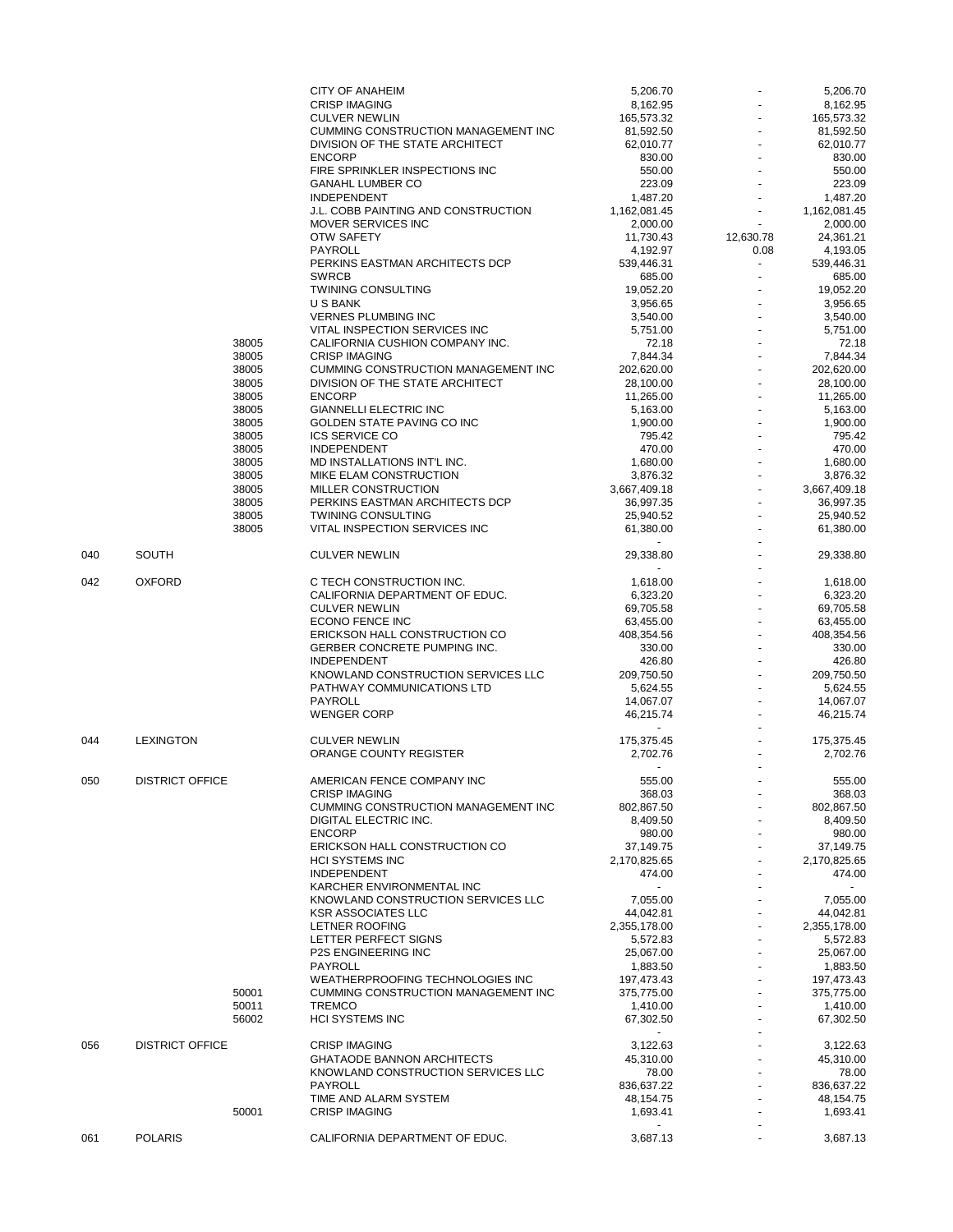|     |                        |       | <b>CITY OF ANAHEIM</b>                        | 5,206.70                 |           | 5,206.70              |
|-----|------------------------|-------|-----------------------------------------------|--------------------------|-----------|-----------------------|
|     |                        |       | <b>CRISP IMAGING</b>                          | 8,162.95                 |           | 8,162.95              |
|     |                        |       | <b>CULVER NEWLIN</b>                          | 165,573.32               |           | 165,573.32            |
|     |                        |       | CUMMING CONSTRUCTION MANAGEMENT INC           | 81,592.50                |           | 81,592.50             |
|     |                        |       | DIVISION OF THE STATE ARCHITECT               | 62,010.77                |           | 62,010.77             |
|     |                        |       | <b>ENCORP</b>                                 | 830.00                   |           | 830.00                |
|     |                        |       | FIRE SPRINKLER INSPECTIONS INC                | 550.00                   |           | 550.00                |
|     |                        |       | <b>GANAHL LUMBER CO</b><br><b>INDEPENDENT</b> | 223.09                   |           | 223.09<br>1,487.20    |
|     |                        |       | J.L. COBB PAINTING AND CONSTRUCTION           | 1,487.20<br>1,162,081.45 |           | 1,162,081.45          |
|     |                        |       | MOVER SERVICES INC                            | 2,000.00                 |           | 2,000.00              |
|     |                        |       | <b>OTW SAFETY</b>                             | 11,730.43                | 12,630.78 | 24,361.21             |
|     |                        |       | PAYROLL                                       | 4,192.97                 | 0.08      | 4,193.05              |
|     |                        |       | PERKINS EASTMAN ARCHITECTS DCP                | 539,446.31               | $\omega$  | 539,446.31            |
|     |                        |       | <b>SWRCB</b>                                  | 685.00                   |           | 685.00                |
|     |                        |       | <b>TWINING CONSULTING</b>                     | 19,052.20                |           | 19,052.20             |
|     |                        |       | U S BANK                                      | 3,956.65                 |           | 3,956.65              |
|     |                        |       | <b>VERNES PLUMBING INC</b>                    | 3,540.00                 |           | 3,540.00              |
|     |                        |       | VITAL INSPECTION SERVICES INC                 | 5,751.00                 |           | 5,751.00              |
|     |                        | 38005 | CALIFORNIA CUSHION COMPANY INC.               | 72.18                    |           | 72.18                 |
|     |                        | 38005 | <b>CRISP IMAGING</b>                          | 7,844.34                 |           | 7,844.34              |
|     |                        | 38005 | CUMMING CONSTRUCTION MANAGEMENT INC           | 202,620.00               |           | 202,620.00            |
|     |                        | 38005 | DIVISION OF THE STATE ARCHITECT               | 28,100.00                |           | 28,100.00             |
|     |                        | 38005 | <b>ENCORP</b>                                 | 11,265.00                |           | 11,265.00             |
|     |                        | 38005 | <b>GIANNELLI ELECTRIC INC</b>                 | 5,163.00                 |           | 5,163.00              |
|     |                        | 38005 | GOLDEN STATE PAVING CO INC                    | 1,900.00                 |           | 1,900.00              |
|     |                        | 38005 | <b>ICS SERVICE CO</b>                         | 795.42                   |           | 795.42                |
|     |                        | 38005 | <b>INDEPENDENT</b>                            | 470.00                   |           | 470.00                |
|     |                        | 38005 | MD INSTALLATIONS INT'L INC.                   | 1,680.00                 |           | 1,680.00              |
|     |                        | 38005 | MIKE ELAM CONSTRUCTION                        | 3,876.32                 |           | 3,876.32              |
|     |                        | 38005 | MILLER CONSTRUCTION                           | 3,667,409.18             |           | 3,667,409.18          |
|     |                        | 38005 | PERKINS EASTMAN ARCHITECTS DCP                | 36,997.35                |           | 36,997.35             |
|     |                        | 38005 | <b>TWINING CONSULTING</b>                     | 25,940.52                |           | 25,940.52             |
|     |                        | 38005 | VITAL INSPECTION SERVICES INC                 | 61.380.00                |           | 61,380.00             |
|     |                        |       |                                               |                          |           |                       |
| 040 | <b>SOUTH</b>           |       | <b>CULVER NEWLIN</b>                          | 29,338.80                |           | 29,338.80             |
|     |                        |       |                                               | $\sim$                   |           |                       |
| 042 | <b>OXFORD</b>          |       | C TECH CONSTRUCTION INC.                      | 1,618.00                 |           | 1,618.00              |
|     |                        |       | CALIFORNIA DEPARTMENT OF EDUC.                | 6,323.20                 |           | 6,323.20              |
|     |                        |       | <b>CULVER NEWLIN</b>                          | 69,705.58                |           | 69,705.58             |
|     |                        |       | ECONO FENCE INC                               | 63,455.00                |           | 63,455.00             |
|     |                        |       | ERICKSON HALL CONSTRUCTION CO                 | 408,354.56               |           | 408,354.56            |
|     |                        |       | GERBER CONCRETE PUMPING INC.                  | 330.00                   |           | 330.00                |
|     |                        |       | <b>INDEPENDENT</b>                            | 426.80                   |           | 426.80                |
|     |                        |       | KNOWLAND CONSTRUCTION SERVICES LLC            | 209,750.50               |           | 209,750.50            |
|     |                        |       | PATHWAY COMMUNICATIONS LTD<br>PAYROLL         | 5,624.55                 |           | 5,624.55<br>14,067.07 |
|     |                        |       | <b>WENGER CORP</b>                            | 14,067.07<br>46,215.74   |           | 46,215.74             |
|     |                        |       |                                               | $\sim$                   |           |                       |
| 044 | <b>LEXINGTON</b>       |       | <b>CULVER NEWLIN</b>                          | 175,375.45               |           | 175,375.45            |
|     |                        |       | ORANGE COUNTY REGISTER                        | 2,702.76                 |           | 2,702.76              |
|     |                        |       |                                               | $\blacksquare$           |           |                       |
| 050 | <b>DISTRICT OFFICE</b> |       | AMERICAN FENCE COMPANY INC                    | 555.00                   |           | 555.00                |
|     |                        |       | <b>CRISP IMAGING</b>                          | 368.03                   |           | 368.03                |
|     |                        |       | CUMMING CONSTRUCTION MANAGEMENT INC           | 802,867.50               |           | 802,867.50            |
|     |                        |       | <b>DIGITAL ELECTRIC INC.</b>                  | 8.409.50                 |           | 8,409.50              |
|     |                        |       | <b>ENCORP</b>                                 | 980.00                   |           | 980.00                |
|     |                        |       | ERICKSON HALL CONSTRUCTION CO                 | 37,149.75                |           | 37,149.75             |
|     |                        |       | <b>HCI SYSTEMS INC</b>                        | 2,170,825.65             |           | 2,170,825.65          |
|     |                        |       | <b>INDEPENDENT</b>                            | 474.00                   |           | 474.00                |
|     |                        |       | KARCHER ENVIRONMENTAL INC                     |                          |           |                       |
|     |                        |       | KNOWLAND CONSTRUCTION SERVICES LLC            | 7,055.00                 |           | 7,055.00              |
|     |                        |       | <b>KSR ASSOCIATES LLC</b>                     | 44,042.81                |           | 44,042.81             |
|     |                        |       | LETNER ROOFING                                | 2,355,178.00             |           | 2,355,178.00          |
|     |                        |       | LETTER PERFECT SIGNS                          | 5,572.83                 |           | 5,572.83              |
|     |                        |       | <b>P2S ENGINEERING INC</b>                    | 25,067.00                |           | 25,067.00             |
|     |                        |       | PAYROLL                                       | 1,883.50                 |           | 1,883.50              |
|     |                        |       | WEATHERPROOFING TECHNOLOGIES INC              | 197,473.43               |           | 197,473.43            |
|     |                        | 50001 | <b>CUMMING CONSTRUCTION MANAGEMENT INC</b>    | 375,775.00               |           | 375,775.00            |
|     |                        | 50011 | <b>TREMCO</b>                                 | 1,410.00                 |           | 1,410.00              |
|     |                        | 56002 | <b>HCI SYSTEMS INC</b>                        | 67,302.50                |           | 67,302.50             |
|     |                        |       |                                               |                          |           |                       |
| 056 | <b>DISTRICT OFFICE</b> |       | <b>CRISP IMAGING</b>                          | 3,122.63                 |           | 3,122.63              |
|     |                        |       | <b>GHATAODE BANNON ARCHITECTS</b>             | 45,310.00                |           | 45,310.00             |
|     |                        |       | KNOWLAND CONSTRUCTION SERVICES LLC            | 78.00                    |           | 78.00                 |
|     |                        |       | PAYROLL                                       | 836,637.22               |           | 836,637.22            |
|     |                        |       | TIME AND ALARM SYSTEM                         | 48,154.75                |           | 48,154.75             |
|     |                        | 50001 | <b>CRISP IMAGING</b>                          | 1,693.41                 |           | 1,693.41              |
|     |                        |       |                                               |                          |           |                       |
| 061 | <b>POLARIS</b>         |       | CALIFORNIA DEPARTMENT OF EDUC.                | 3,687.13                 |           | 3,687.13              |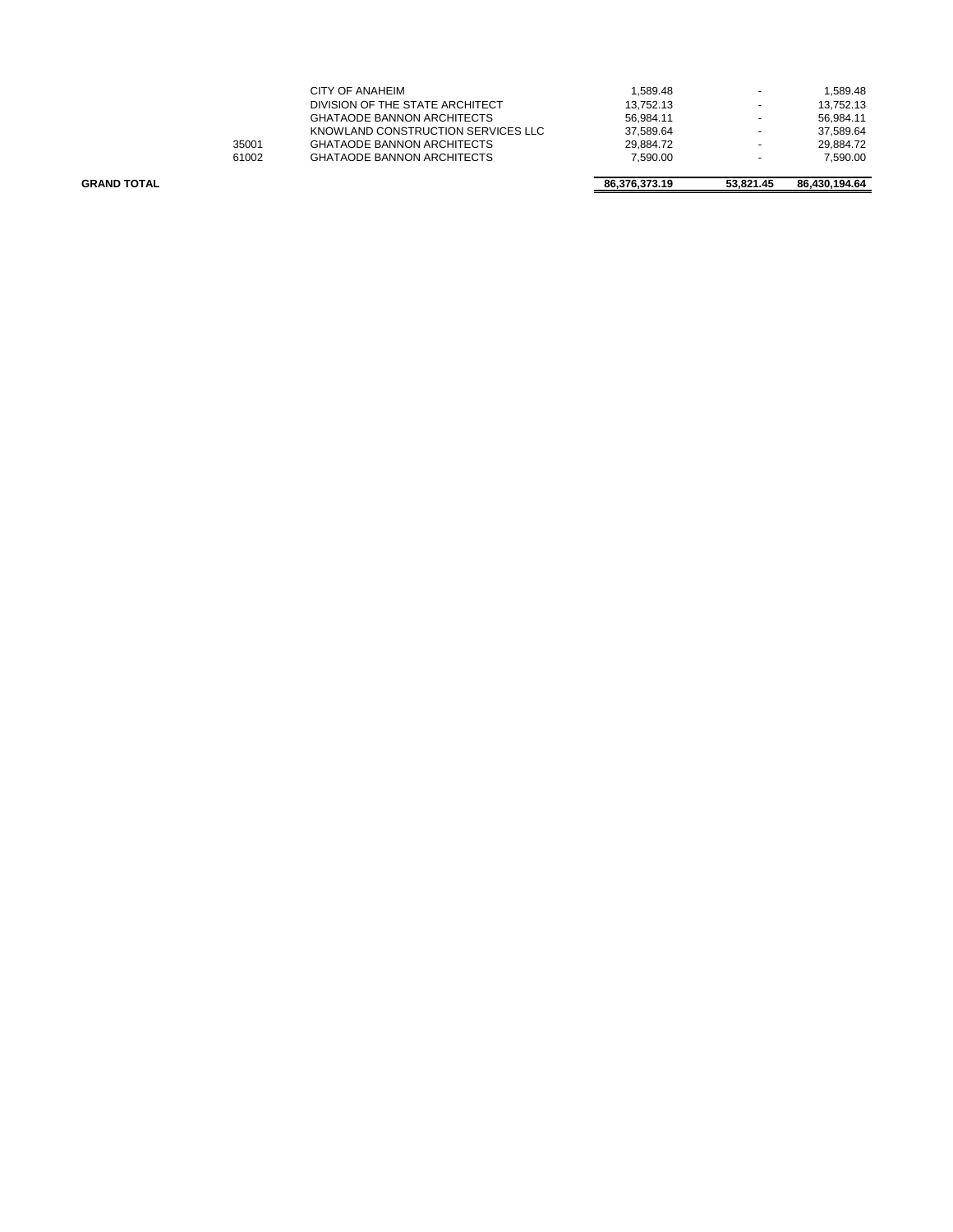| <b>GRAND TOTAL</b> |       |                                    | 86.376.373.19 | 53.821.45                | 86.430.194.64 |
|--------------------|-------|------------------------------------|---------------|--------------------------|---------------|
|                    |       |                                    | 7.590.00      | $\overline{\phantom{0}}$ | 7.590.00      |
|                    | 61002 | <b>GHATAODE BANNON ARCHITECTS</b>  |               |                          |               |
|                    | 35001 | <b>GHATAODE BANNON ARCHITECTS</b>  | 29.884.72     | -                        | 29.884.72     |
|                    |       | KNOWLAND CONSTRUCTION SERVICES LLC | 37.589.64     | ۰                        | 37.589.64     |
|                    |       | <b>GHATAODE BANNON ARCHITECTS</b>  | 56.984.11     | $\overline{\phantom{0}}$ | 56.984.11     |
|                    |       | DIVISION OF THE STATE ARCHITECT    | 13.752.13     |                          | 13.752.13     |
|                    |       | CITY OF ANAHEIM                    | 1.589.48      |                          | 1.589.48      |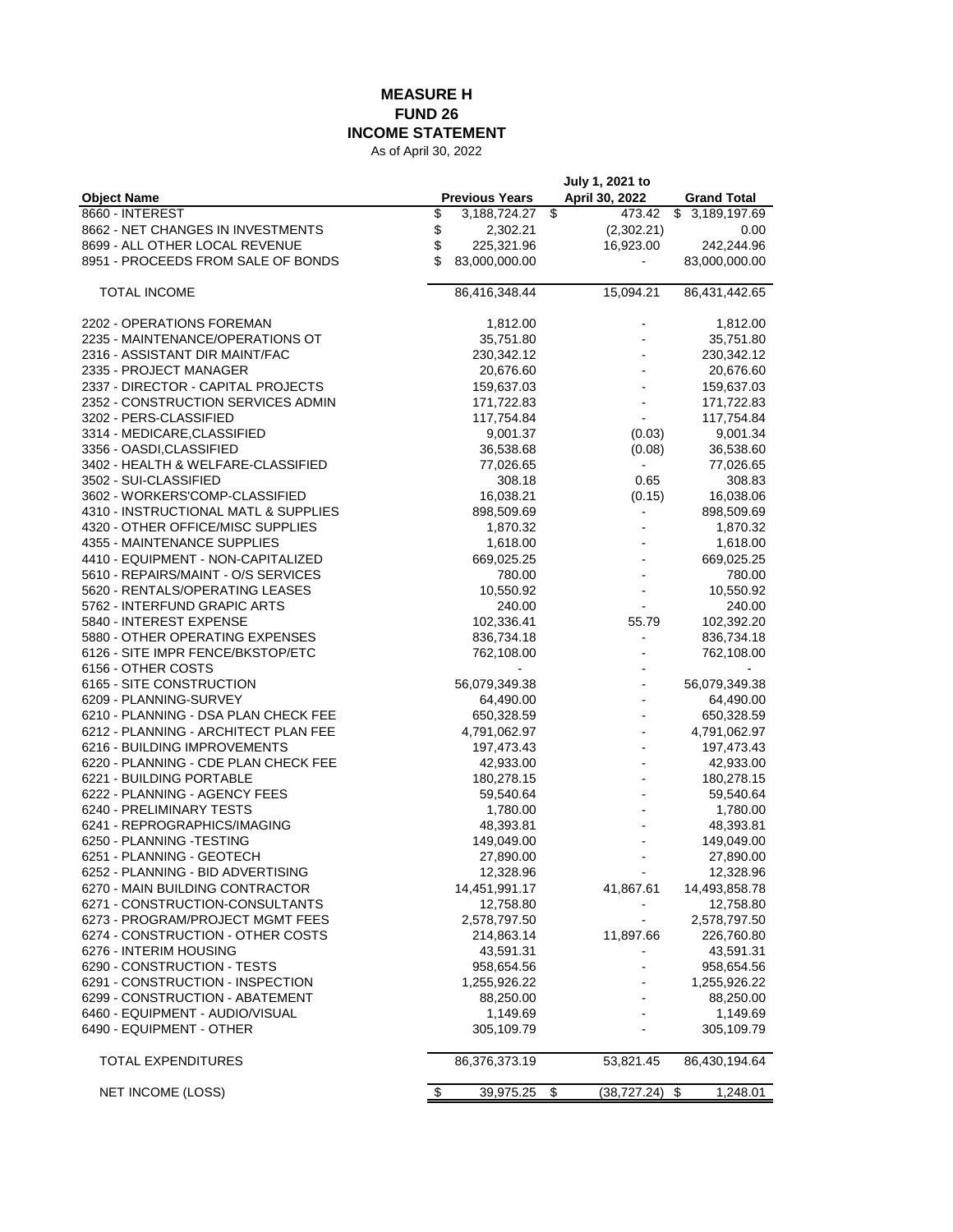## **MEASURE H FUND 26**

**INCOME STATEMENT**

As of April 30, 2022

|                                                         |                       | July 1, 2021 to    |                              |
|---------------------------------------------------------|-----------------------|--------------------|------------------------------|
| <b>Object Name</b>                                      | <b>Previous Years</b> | April 30, 2022     | <b>Grand Total</b>           |
| 8660 - INTEREST                                         | \$<br>3,188,724.27    | \$<br>473.42       | $\overline{3}$ , 189, 197.69 |
| 8662 - NET CHANGES IN INVESTMENTS                       | \$<br>2,302.21        | (2,302.21)         | 0.00                         |
| 8699 - ALL OTHER LOCAL REVENUE                          | \$<br>225,321.96      | 16,923.00          | 242,244.96                   |
| 8951 - PROCEEDS FROM SALE OF BONDS                      | \$<br>83,000,000.00   |                    | 83,000,000.00                |
| <b>TOTAL INCOME</b>                                     | 86,416,348.44         | 15,094.21          | 86,431,442.65                |
| 2202 - OPERATIONS FOREMAN                               | 1,812.00              |                    | 1,812.00                     |
| 2235 - MAINTENANCE/OPERATIONS OT                        | 35,751.80             |                    | 35,751.80                    |
| 2316 - ASSISTANT DIR MAINT/FAC                          | 230,342.12            |                    | 230,342.12                   |
| 2335 - PROJECT MANAGER                                  | 20,676.60             |                    | 20,676.60                    |
| 2337 - DIRECTOR - CAPITAL PROJECTS                      | 159,637.03            |                    | 159,637.03                   |
| 2352 - CONSTRUCTION SERVICES ADMIN                      | 171,722.83            |                    | 171,722.83                   |
| 3202 - PERS-CLASSIFIED                                  | 117,754.84            |                    | 117,754.84                   |
| 3314 - MEDICARE, CLASSIFIED                             | 9,001.37              | (0.03)             | 9,001.34                     |
| 3356 - OASDI, CLASSIFIED                                | 36,538.68             | (0.08)             | 36,538.60                    |
| 3402 - HEALTH & WELFARE-CLASSIFIED                      | 77,026.65             | $\blacksquare$     | 77,026.65                    |
| 3502 - SUI-CLASSIFIED                                   |                       | 308.18<br>0.65     | 308.83                       |
| 3602 - WORKERS'COMP-CLASSIFIED                          | 16,038.21             | (0.15)             | 16,038.06                    |
| 4310 - INSTRUCTIONAL MATL & SUPPLIES                    | 898,509.69            |                    | 898,509.69                   |
| 4320 - OTHER OFFICE/MISC SUPPLIES                       | 1,870.32              |                    | 1,870.32                     |
| 4355 - MAINTENANCE SUPPLIES                             | 1,618.00              |                    | 1,618.00                     |
| 4410 - EQUIPMENT - NON-CAPITALIZED                      | 669,025.25            |                    | 669,025.25                   |
| 5610 - REPAIRS/MAINT - O/S SERVICES                     |                       | 780.00             | 780.00                       |
| 5620 - RENTALS/OPERATING LEASES                         | 10,550.92             |                    | 10,550.92                    |
| 5762 - INTERFUND GRAPIC ARTS                            |                       | 240.00             | 240.00                       |
| 5840 - INTEREST EXPENSE                                 | 102,336.41            | 55.79              | 102,392.20                   |
| 5880 - OTHER OPERATING EXPENSES                         | 836,734.18            |                    | 836,734.18                   |
| 6126 - SITE IMPR FENCE/BKSTOP/ETC<br>6156 - OTHER COSTS | 762,108.00            |                    | 762,108.00                   |
| 6165 - SITE CONSTRUCTION                                | 56,079,349.38         |                    | 56,079,349.38                |
| 6209 - PLANNING-SURVEY                                  | 64,490.00             |                    | 64,490.00                    |
| 6210 - PLANNING - DSA PLAN CHECK FEE                    | 650,328.59            |                    | 650,328.59                   |
| 6212 - PLANNING - ARCHITECT PLAN FEE                    | 4,791,062.97          |                    | 4,791,062.97                 |
| 6216 - BUILDING IMPROVEMENTS                            | 197,473.43            |                    | 197,473.43                   |
| 6220 - PLANNING - CDE PLAN CHECK FEE                    | 42,933.00             |                    | 42,933.00                    |
| 6221 - BUILDING PORTABLE                                | 180,278.15            |                    | 180,278.15                   |
| 6222 - PLANNING - AGENCY FEES                           | 59,540.64             |                    | 59,540.64                    |
| 6240 - PRELIMINARY TESTS                                | 1,780.00              |                    | 1,780.00                     |
| 6241 - REPROGRAPHICS/IMAGING                            | 48,393.81             |                    | 48,393.81                    |
| 6250 - PLANNING - TESTING                               | 149,049.00            |                    | 149,049.00                   |
| 6251 - PLANNING - GEOTECH                               | 27,890.00             |                    | 27,890.00                    |
| 6252 - PLANNING - BID ADVERTISING                       | 12,328.96             |                    | 12,328.96                    |
| 6270 - MAIN BUILDING CONTRACTOR                         | 14,451,991.17         | 41,867.61          | 14,493,858.78                |
| 6271 - CONSTRUCTION-CONSULTANTS                         | 12,758.80             |                    | 12,758.80                    |
| 6273 - PROGRAM/PROJECT MGMT FEES                        | 2,578,797.50          |                    | 2,578,797.50                 |
| 6274 - CONSTRUCTION - OTHER COSTS                       | 214,863.14            | 11,897.66          | 226,760.80                   |
| 6276 - INTERIM HOUSING                                  | 43,591.31             |                    | 43,591.31                    |
| 6290 CONSTRUCTION TESTS                                 | 958,654.56            |                    | 958,654.56                   |
| 6291 - CONSTRUCTION - INSPECTION                        | 1,255,926.22          |                    | 1,255,926.22                 |
| 6299 - CONSTRUCTION - ABATEMENT                         | 88,250.00             |                    | 88,250.00                    |
| 6460 EQUIPMENT AUDIO/VISUAL                             | 1,149.69              |                    | 1,149.69                     |
| 6490 EQUIPMENT OTHER                                    | 305,109.79            |                    | 305,109.79                   |
| <b>TOTAL EXPENDITURES</b>                               | 86,376,373.19         | 53,821.45          | 86,430,194.64                |
| <b>NET INCOME (LOSS)</b>                                | \$<br>39,975.25       | \$<br>(38, 727.24) | \$<br>1,248.01               |